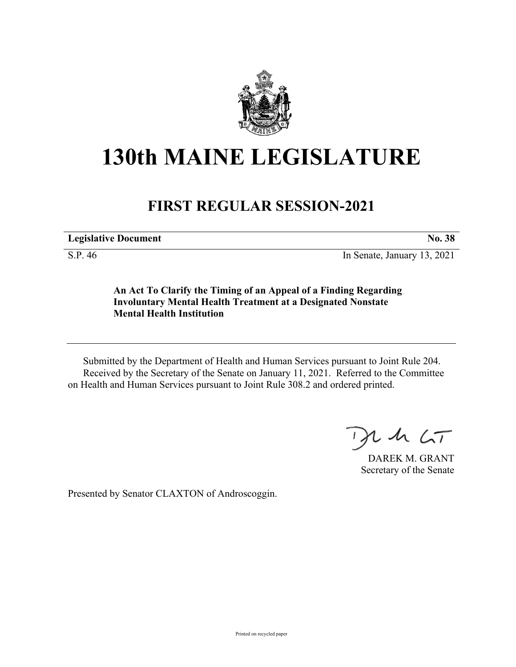

## **130th MAINE LEGISLATURE**

## **FIRST REGULAR SESSION-2021**

**Legislative Document No. 38**

S.P. 46 In Senate, January 13, 2021

**An Act To Clarify the Timing of an Appeal of a Finding Regarding Involuntary Mental Health Treatment at a Designated Nonstate Mental Health Institution**

Submitted by the Department of Health and Human Services pursuant to Joint Rule 204. Received by the Secretary of the Senate on January 11, 2021. Referred to the Committee on Health and Human Services pursuant to Joint Rule 308.2 and ordered printed.

 $242CT$ 

DAREK M. GRANT Secretary of the Senate

Presented by Senator CLAXTON of Androscoggin.